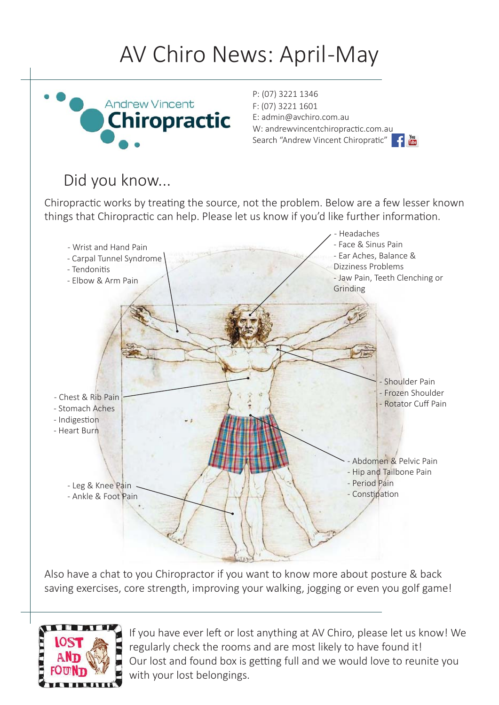## AV Chiro News: April-May



P: (07) 3221 1346 F: (07) 3221 1601 E: admin@avchiro.com.au W: andrewvincentchiropractic.com.au Search "Andrew Vincent Chiropratic" **Carl Time** 

#### Did you know...

Chiropractic works by treating the source, not the problem. Below are a few lesser known things that Chiropractic can help. Please let us know if you'd like further information.



Also have a chat to you Chiropractor if you want to know more about posture & back saving exercises, core strength, improving your walking, jogging or even you golf game!



If you have ever left or lost anything at AV Chiro, please let us know! We regularly check the rooms and are most likely to have found it! Our lost and found box is getting full and we would love to reunite you with your lost belongings.